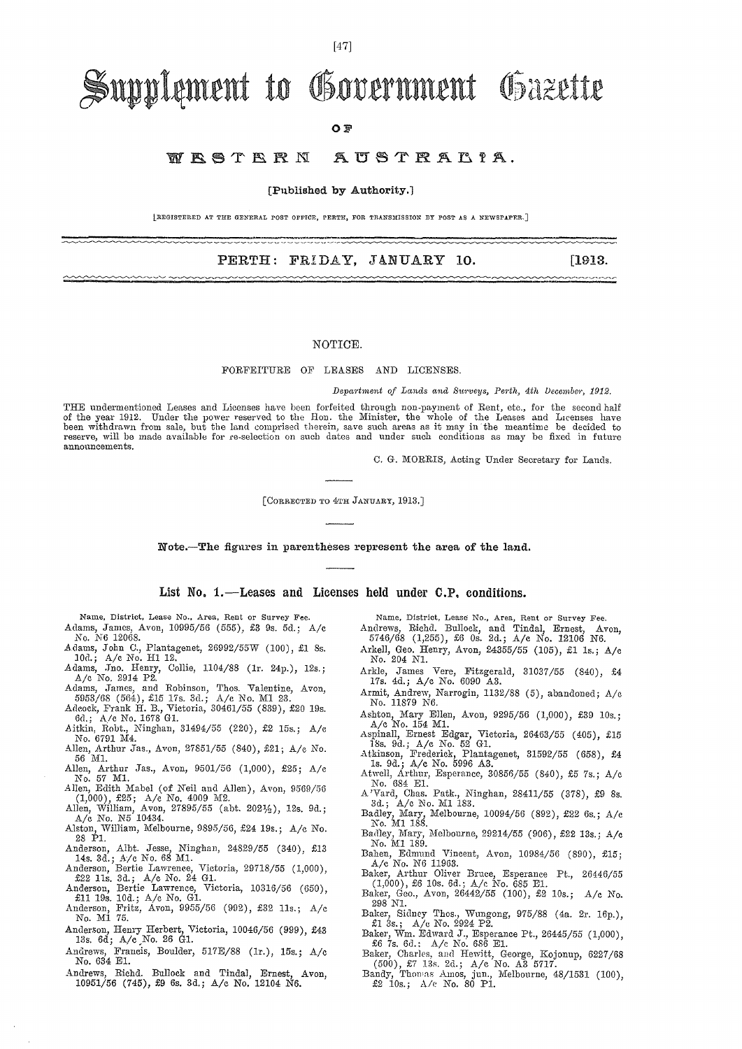## $[47]$

# Supplement to Government Gazette

### OF

#### WRSTERN AUSTRALIA.

### [Published by Authority.]

|REGISTERED AT THE GENERAL POST OFFICE. PERTH. FOR TRANSMISSION BY POST AS A NEWSPAPER.]

## PERTH: FRIDAY, JANUARY 10.

#### NOTICE.

FORFEITURE OF LEASES AND LICENSES.

Department of Lands and Surveys, Perth, 4th December, 1912.

THE undermentioned Leases and Licenses have been forfeited through non-payment of Rent, etc., for the second half of the year 1912. Under the power reserved to the Hon. the Minister, the whole of the Leases and Licenses ha reserve, will be made available for re-selection on such dates and under such conditions as may be fixed in future announcements.

C. G. MORRIS, Acting Under Secretary for Lands.

[CORRECTED TO 4TH JANUARY, 1913.]

Note.-The figures in parentheses represent the area of the land.

List No. 1.—Leases and Licenses held under C.P. conditions.

Name, District, Lease No., Area, Rent or Survey Fee. Adams, James, Avon, 10995/56 (555), £3 9s. 5d.; A/c

- No. N6 12068. Adams, John C., Plantagenet, 26992/55W (100), £1 8s.<br>10d.; A/c No. H1 12.
- 
- Adams, Jno. Henry, Collie, 1104/88 (1r. 24p.), 12s.;<br>A/c No. 2914 P2.
- 
- Adams, James, and Robinson, Thos. Valentine, Avon, 5953/68 (564), £15 17s. 3d.; A/c No. MI 23.<br>Adams, Tames, and Robinson, Thos. Valentine, Avon, 5953/68 (564), £15 17s. 3d.; A/c No. MI 23.<br>Adeock, Frank H. B., Victoria, 3
- No. 6791 M4. Allen, Arthur Jas., Avon, 27851/55 (840), £21; A/c No. 56 M1.
- Allen, Arthur Jas., Avon, 9501/56 (1,000), £25; A/c
- No. 57 M1.<br>Allen, Edith Mabel (of Neil and Allen), Avon, 9569/56
- (1,000), £25; A/e No. 4009 M2.<br>Allen, William, Avon, 27895/55 (abt. 2021/2), 12s. 9d.;<br>A/e No. N5 10434.
- Alston, William, Melbourne, 9895/56, £24 19s.; A/c No. 28 P1.
- Anderson, Albt. Jesse, Ninghan, 24829/55 (340), £13<br>14s. 3d.; A/c No. 68 M1.<br>Anderson, Bertie Lawrence, Victoria, 29718/55 (1,000),<br>£22 11s. 3d.; A/c No. 24 G1.
- 
- 
- Anderson, Bertie Lawrence, Victoria, 10316/56 (650),<br>
fill 19s. 10d; A/c No. GI.<br>
Anderson, Fritz, Avon, 9955/56 (992), £32 11s.; A/c No. M1 75.
- Anderson, Henry Herbert, Victoria, 10046/56 (999), £43<br>13s. 6d; A/c No. 26 G1.
- Andrews, Francis, Boulder, 517E/88 (1r.), 15s.; A/c No. 634 E1.
- Richd. Bullock and Tindal, Andrews, Ernest, Avon. 10951/56 (745),  $\pounds9$  6s. 3d.; A/c No. 12104 N6.

- Name, District, Lease No., Area, Rent or Survey Fee.<br>Andrews, Richd. Bullock, and Tindal, Ernest, Av 5746/68 (1,255), £6 0s. 2d.; A/c No. 12106 N6. Avon, Arkell, Geo. Henry, Avon, 24355/55 (105), £1 1s.; A/c No. 204 N1.
- Arkle, James Vere, Fitzgerald, 31037/55 (840), £4<br>17s. 4d.; A/c No. 6090 A3.
- Armit, Andrew, Narrogin, 1132/88 (5), abandoned; A/c No. 11879 N6.
- Ashton, Mary Ellen, Avon, 9295/56 (1,000), £39 10s.; A/c No. 154 M1.
- Aspinall, Ernest Edgar, Victoria, 26463/55 (405), £15<br>
18s. 9d.; A/c No. 52 G1.<br>
Atkinson, Frederick, Plantagenet, 31592/55 (658), £4<br>
1s. 9d.; A/c No. 5996 A3.<br>
Atwell, Arthur, Esperance, 30856/55 (840), £5 7s.; A/c<br>
Nutl
- 
- No. 684 E1.
- A Vard, Chas. Patk., Ninghan, 28411/55 (378), £9 8s.<br>3d.; A/c No. M1 183.
- Badley, Mary, Melbourne, 10094/56 (892), £22 6s.; A/c No. M1 188.
- Badley, Mary, Melbourne, 29214/55 (906), £22 13s.; A/c No. M1 189.
- Bahen, Edmund Vincent, Avon, 10984/56 (890), £15;<br>A/c No. N6 11963.
- Baker, Arthur Oliver Bruce, Esperance Pt., 26446/55 (1,000), £6 10s. 6d.; A/c No. 685 E1.<br>Baker, Geo., Avon, 26442/55 (100), £2 10s.; A/c No.
- 298 N1. Baker, Sidney Thos., Wungong, 975/88 (4a. 2r. 16p.),<br>
£1 3s.; A/c No. 2924 P2.
- Baker, Wm. Edward J., Esperance Pt., 26445/55 (1,000),<br>
56 7s. 6d.: A/c No. 686 E1.
- Eaker, Charles, and Hewitt, George, Kojonup, 6227/68<br>
(500), £7 13s. 2d.; A/c No. A3 5717.<br>
Bandy, Thomas Amos, jun., Melbourne, 48/1531 (100), £2 10s.; A/c No. 80 P1.
- 

 $[1913.$